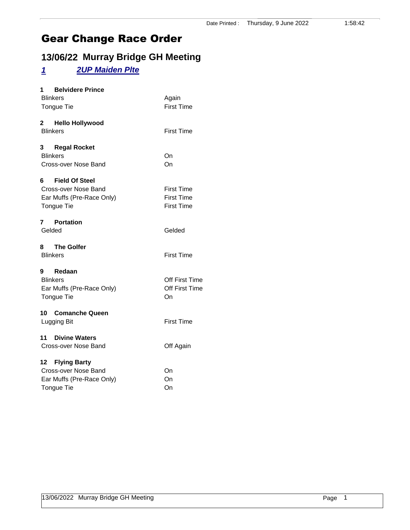### **13/06/22 Murray Bridge GH Meeting**

#### *1 2UP Maiden Plte*

| 1 Belvidere Prince        |                   |
|---------------------------|-------------------|
| <b>Blinkers</b>           | Again             |
| Tongue Tie                | <b>First Time</b> |
| 2 Hello Hollywood         |                   |
| <b>Blinkers</b>           | <b>First Time</b> |
| 3 Regal Rocket            |                   |
| <b>Blinkers</b>           | On                |
| Cross-over Nose Band      | On                |
| 6 Field Of Steel          |                   |
| Cross-over Nose Band      | <b>First Time</b> |
| Ear Muffs (Pre-Race Only) | <b>First Time</b> |
| Tongue Tie                | <b>First Time</b> |
|                           |                   |
| 7 Portation               |                   |
| Gelded                    | Gelded            |
| 8 The Golfer              |                   |
| <b>Blinkers</b>           | <b>First Time</b> |
| 9 Redaan                  |                   |
| <b>Blinkers</b>           | Off First Time    |
| Ear Muffs (Pre-Race Only) | Off First Time    |
| Tongue Tie                | On                |
|                           |                   |
| 10 Comanche Queen         |                   |
| Lugging Bit               | <b>First Time</b> |
| 11 Divine Waters          |                   |
| Cross-over Nose Band      | Off Again         |
| 12 Flying Barty           |                   |
| Cross-over Nose Band      | On                |
| Ear Muffs (Pre-Race Only) | On                |
| Tongue Tie                | On                |
|                           |                   |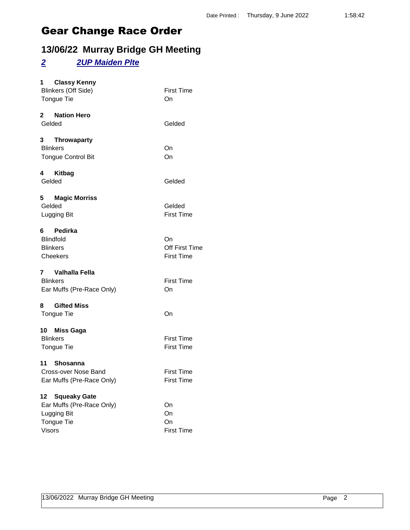### **13/06/22 Murray Bridge GH Meeting**

#### *2 2UP Maiden Plte*

| <b>Classy Kenny</b><br>1<br><b>Blinkers (Off Side)</b><br>Tongue Tie                                              | <b>First Time</b><br>On                   |
|-------------------------------------------------------------------------------------------------------------------|-------------------------------------------|
| 2 Nation Hero<br>Gelded                                                                                           | Gelded                                    |
| 3 Throwaparty<br><b>Blinkers</b><br><b>Tongue Control Bit</b>                                                     | On<br>On                                  |
| 4 Kitbag<br>Gelded                                                                                                | Gelded                                    |
| 5 Magic Morriss<br>Gelded<br>Lugging Bit                                                                          | Gelded<br><b>First Time</b>               |
| 6 Pedirka<br><b>Blindfold</b><br><b>Blinkers</b><br>Cheekers                                                      | On<br>Off First Time<br><b>First Time</b> |
| 7 Valhalla Fella<br><b>Blinkers</b><br>Ear Muffs (Pre-Race Only)                                                  | <b>First Time</b><br>On                   |
| <b>Gifted Miss</b><br>8<br>Tongue Tie                                                                             | On                                        |
| 10 Miss Gaga<br><b>Blinkers</b><br>Tongue Tie                                                                     | <b>First Time</b><br><b>First Time</b>    |
| 11 Shosanna<br>Cross-over Nose Band<br>Ear Muffs (Pre-Race Only)                                                  | <b>First Time</b><br><b>First Time</b>    |
| <b>Squeaky Gate</b><br>12 <sub>2</sub><br>Ear Muffs (Pre-Race Only)<br>Lugging Bit<br>Tongue Tie<br><b>Visors</b> | On<br>On<br>On<br><b>First Time</b>       |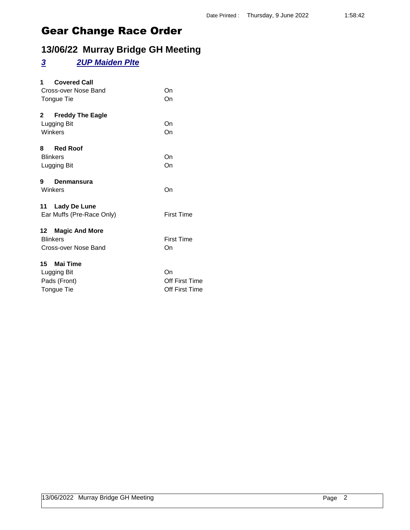### **13/06/22 Murray Bridge GH Meeting**

#### *3 2UP Maiden Plte*

| <b>Covered Call</b><br>1.               |                   |
|-----------------------------------------|-------------------|
| Cross-over Nose Band                    | On                |
| Tongue Tie                              | On                |
| $\mathbf{2}$<br><b>Freddy The Eagle</b> |                   |
| Lugging Bit                             | On                |
| Winkers                                 | On                |
| 8 Red Roof                              |                   |
| <b>Blinkers</b>                         | On                |
| Lugging Bit                             | On                |
| 9<br>Denmansura                         |                   |
| Winkers                                 | On                |
| 11 Lady De Lune                         |                   |
| Ear Muffs (Pre-Race Only)               | <b>First Time</b> |
| 12 Magic And More                       |                   |
| <b>Blinkers</b>                         | <b>First Time</b> |
| Cross-over Nose Band                    | On                |
| 15 Mai Time                             |                   |
| Lugging Bit                             | On                |
| Pads (Front)                            | Off First Time    |
| Tongue Tie                              | Off First Time    |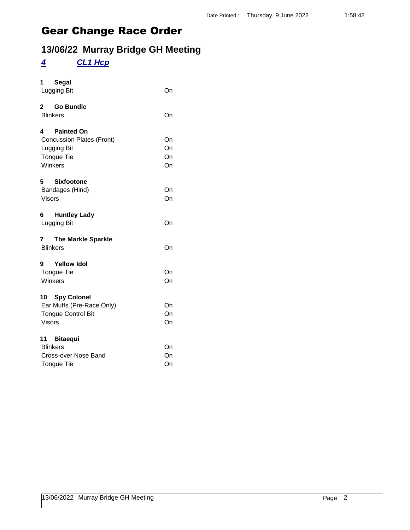## **13/06/22 Murray Bridge GH Meeting**

### *4 CL1 Hcp*

| 1<br>Segal                                                                                                |                      |
|-----------------------------------------------------------------------------------------------------------|----------------------|
| Lugging Bit                                                                                               | On                   |
| $\mathbf{2}$<br><b>Go Bundle</b><br><b>Blinkers</b>                                                       | On                   |
| <b>Painted On</b><br>4<br><b>Concussion Plates (Front)</b><br>Lugging Bit<br><b>Tongue Tie</b><br>Winkers | On<br>On<br>On<br>On |
| 5<br><b>Sixfootone</b><br>Bandages (Hind)<br><b>Visors</b>                                                | On<br>On             |
| 6<br><b>Huntley Lady</b><br>Lugging Bit                                                                   | On                   |
| $\mathbf{7}$<br><b>The Markle Sparkle</b><br><b>Blinkers</b>                                              | On                   |
| <b>Yellow Idol</b><br>9<br><b>Tongue Tie</b><br>Winkers                                                   | On<br>On             |
| 10 Spy Colonel<br>Ear Muffs (Pre-Race Only)<br><b>Tongue Control Bit</b><br><b>Visors</b>                 | On<br>On<br>On       |
| 11<br><b>Bitaequi</b><br><b>Blinkers</b><br>Cross-over Nose Band<br><b>Tongue Tie</b>                     | On<br>On<br>On       |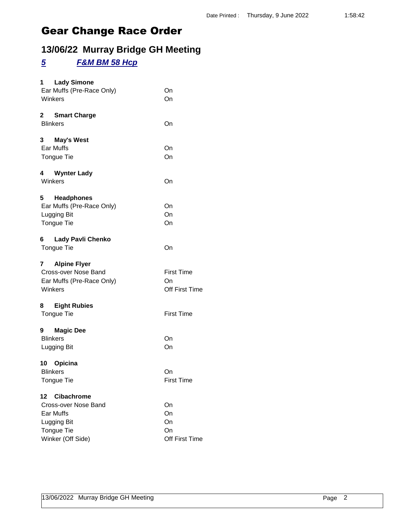### **13/06/22 Murray Bridge GH Meeting**

#### *5 F&M BM 58 Hcp*

| <b>Lady Simone</b><br>1 $\overline{\phantom{a}}$ |                   |
|--------------------------------------------------|-------------------|
| Ear Muffs (Pre-Race Only)                        | On                |
| Winkers                                          | On                |
|                                                  |                   |
| 2<br><b>Smart Charge</b>                         |                   |
| <b>Blinkers</b>                                  | On                |
| <b>May's West</b><br>3                           |                   |
| Ear Muffs                                        | On                |
| <b>Tongue Tie</b>                                | On                |
|                                                  |                   |
| 4 Wynter Lady                                    |                   |
| Winkers                                          | On                |
| 5<br><b>Headphones</b>                           |                   |
| Ear Muffs (Pre-Race Only)                        | On                |
| Lugging Bit                                      | On                |
| Tongue Tie                                       | On                |
|                                                  |                   |
| Lady Pavli Chenko<br>6                           |                   |
| <b>Tongue Tie</b>                                | On                |
|                                                  |                   |
| <b>Alpine Flyer</b><br>7<br>Cross-over Nose Band | <b>First Time</b> |
| Ear Muffs (Pre-Race Only)                        | On                |
| Winkers                                          | Off First Time    |
|                                                  |                   |
| 8.<br><b>Eight Rubies</b>                        |                   |
| Tongue Tie                                       | <b>First Time</b> |
|                                                  |                   |
| 9 Magic Dee                                      |                   |
| <b>Blinkers</b>                                  | On                |
| Lugging Bit                                      | On                |
| 10 Opicina                                       |                   |
| <b>Blinkers</b>                                  | On                |
| Tongue Tie                                       | First Time        |
|                                                  |                   |
| <b>Cibachrome</b><br>12                          |                   |
| Cross-over Nose Band                             | On                |
| Ear Muffs                                        | On                |
| Lugging Bit                                      | On                |
| Tongue Tie                                       | On                |
| Winker (Off Side)                                | Off First Time    |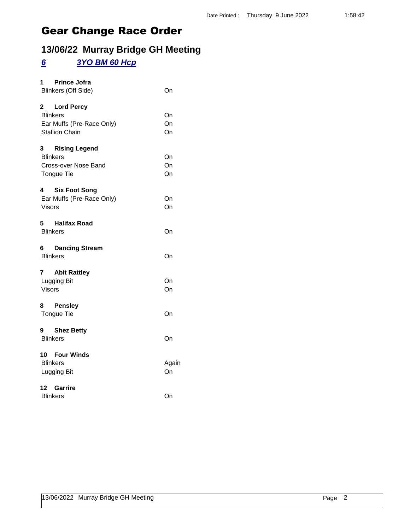### **13/06/22 Murray Bridge GH Meeting**

#### *6 3YO BM 60 Hcp*

| <b>Prince Jofra</b><br>1.<br><b>Blinkers (Off Side)</b>                                             | On             |
|-----------------------------------------------------------------------------------------------------|----------------|
| 2 Lord Percy<br><b>Blinkers</b><br>Ear Muffs (Pre-Race Only)<br><b>Stallion Chain</b>               | On<br>On<br>On |
| $3^{\circ}$<br><b>Rising Legend</b><br><b>Blinkers</b><br>Cross-over Nose Band<br><b>Tongue Tie</b> | On<br>On<br>On |
| 4<br><b>Six Foot Song</b><br>Ear Muffs (Pre-Race Only)<br>Visors                                    | On<br>On       |
| 5 Halifax Road<br><b>Blinkers</b>                                                                   | On             |
| <b>Dancing Stream</b><br><b>Blinkers</b>                                                            | On             |
| 7 Abit Rattley<br>Lugging Bit<br>Visors                                                             | On<br>On       |
| 8 Pensley<br>Tongue Tie                                                                             | On             |
| 9 Shez Betty<br><b>Blinkers</b>                                                                     | On             |
| 10 Four Winds<br><b>Blinkers</b><br>Lugging Bit                                                     | Again<br>On    |
| 12 Garrire<br><b>Blinkers</b>                                                                       | On             |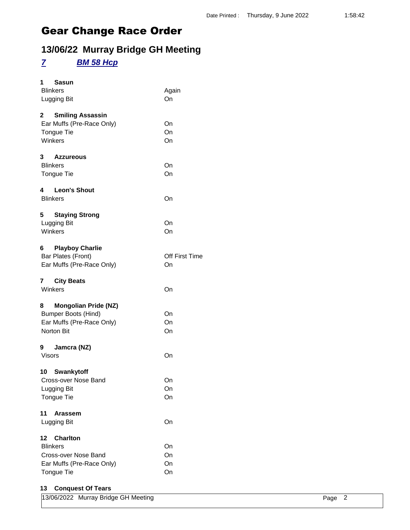### **13/06/22 Murray Bridge GH Meeting**

### *7 BM 58 Hcp*

| 1<br>Sasun<br><b>Blinkers</b><br>Lugging Bit                                                                | Again<br>On          |
|-------------------------------------------------------------------------------------------------------------|----------------------|
| 2 Smiling Assassin<br>Ear Muffs (Pre-Race Only)<br>Tongue Tie<br>Winkers                                    | On<br>On<br>On       |
| 3 Azzureous<br><b>Blinkers</b><br>Tongue Tie                                                                | On<br>On             |
| 4 Leon's Shout<br><b>Blinkers</b>                                                                           | On                   |
| 5<br><b>Staying Strong</b><br>Lugging Bit<br>Winkers                                                        | On<br>On             |
| <b>Playboy Charlie</b><br>6<br>Bar Plates (Front)<br>Ear Muffs (Pre-Race Only)                              | Off First Time<br>On |
| 7 City Beats<br>Winkers                                                                                     | On                   |
| 8<br><b>Mongolian Pride (NZ)</b><br><b>Bumper Boots (Hind)</b><br>Ear Muffs (Pre-Race Only)<br>Norton Bit   | On<br>On<br>On       |
| 9 Jamcra (NZ)<br><b>Visors</b>                                                                              | On                   |
| 10 Swankytoff<br>Cross-over Nose Band<br>Lugging Bit<br>Tongue Tie                                          | On<br>On<br>On       |
| 11<br>Arassem<br>Lugging Bit                                                                                | On                   |
| 12<br><b>Charlton</b><br><b>Blinkers</b><br>Cross-over Nose Band<br>Ear Muffs (Pre-Race Only)<br>Tongue Tie | On<br>On<br>On<br>On |
| <b>Conquest Of Tears</b><br>13                                                                              |                      |

| 13/06/2022 Murray Bridge GH Meeting | Page 2 |
|-------------------------------------|--------|
|-------------------------------------|--------|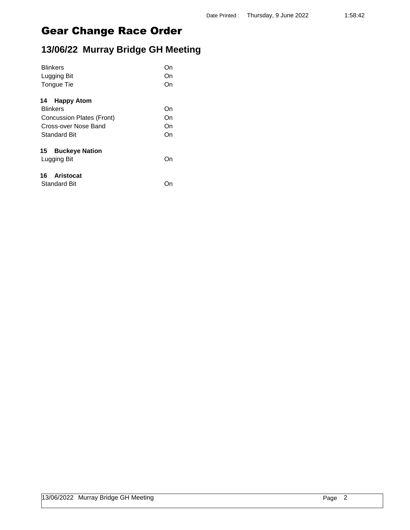## **13/06/22 Murray Bridge GH Meeting**

| <b>Blinkers</b>                  | On |
|----------------------------------|----|
| Lugging Bit                      | On |
| Tongue Tie                       | On |
| 14 Happy Atom                    |    |
| <b>Blinkers</b>                  | On |
| <b>Concussion Plates (Front)</b> | On |
| Cross-over Nose Band             | On |
| Standard Bit                     | On |
| 15 Buckeye Nation                |    |
| Lugging Bit                      | On |
| 16 Aristocat                     |    |
| <b>Standard Bit</b>              | )n |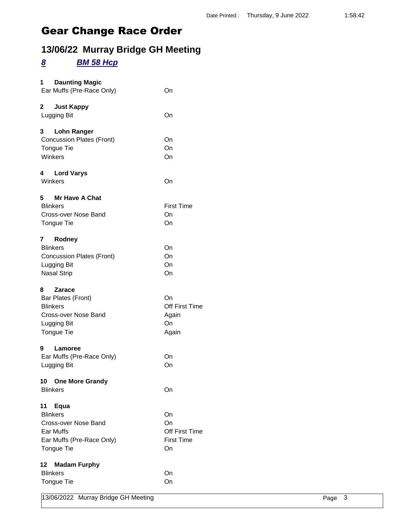### **13/06/22 Murray Bridge GH Meeting**

#### *8 BM 58 Hcp*

| 1<br><b>Daunting Magic</b><br>Ear Muffs (Pre-Race Only)                                                                 | On                                                    |
|-------------------------------------------------------------------------------------------------------------------------|-------------------------------------------------------|
| 2<br><b>Just Kappy</b><br>Lugging Bit                                                                                   | On                                                    |
| 3<br><b>Lohn Ranger</b><br><b>Concussion Plates (Front)</b><br>Tongue Tie<br>Winkers                                    | On<br>On<br>On                                        |
| <b>Lord Varys</b><br>4<br>Winkers                                                                                       | On                                                    |
| <b>Mr Have A Chat</b><br>5.<br><b>Blinkers</b><br>Cross-over Nose Band<br><b>Tongue Tie</b>                             | <b>First Time</b><br>On<br>On                         |
| 7<br>Rodney<br><b>Blinkers</b><br><b>Concussion Plates (Front)</b><br>Lugging Bit<br><b>Nasal Strip</b>                 | On<br>On<br>On<br>On                                  |
| 8<br><b>Zarace</b><br>Bar Plates (Front)<br><b>Blinkers</b><br>Cross-over Nose Band<br>Lugging Bit<br><b>Tongue Tie</b> | On<br>Off First Time<br>Again<br>On<br>Again          |
| 9<br>Lamoree<br>Ear Muffs (Pre-Race Only)<br>Lugging Bit                                                                | On<br>On                                              |
| 10 One More Grandy<br><b>Blinkers</b>                                                                                   | On                                                    |
| 11<br>Equa<br><b>Blinkers</b><br>Cross-over Nose Band<br>Ear Muffs<br>Ear Muffs (Pre-Race Only)<br>Tongue Tie           | On<br>On<br>Off First Time<br><b>First Time</b><br>On |
| 12 <sub>2</sub><br><b>Madam Furphy</b><br><b>Blinkers</b><br><b>Tongue Tie</b>                                          | On<br>On                                              |

13/06/2022 Murray Bridge GH Meeting **Page 3** Page 3